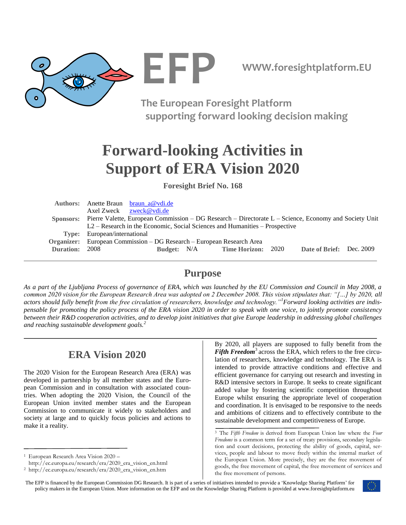

**The European Foresight Platform supporting forward looking decision making**

# **Forward-looking Activities in Support of ERA Vision 2020**

**Foresight Brief No. 168**

|                       |                                                                                                                 | Authors: Anette Braun braun a@vdi.de |  |                                  |      |                          |  |
|-----------------------|-----------------------------------------------------------------------------------------------------------------|--------------------------------------|--|----------------------------------|------|--------------------------|--|
|                       |                                                                                                                 | Axel Zweck zweck@vdi.de              |  |                                  |      |                          |  |
|                       | Sponsors: Pierre Valette, European Commission – DG Research – Directorate L – Science, Economy and Society Unit |                                      |  |                                  |      |                          |  |
|                       | L2 – Research in the Economic, Social Sciences and Humanities – Prospective                                     |                                      |  |                                  |      |                          |  |
|                       | Type: European/international                                                                                    |                                      |  |                                  |      |                          |  |
| Organizer:            | European Commission – DG Research – European Research Area                                                      |                                      |  |                                  |      |                          |  |
| <b>Duration: 2008</b> |                                                                                                                 |                                      |  | <b>Budget:</b> N/A Time Horizon: | 2020 | Date of Brief: Dec. 2009 |  |
|                       |                                                                                                                 |                                      |  |                                  |      |                          |  |

### **Purpose**

*As a part of the Ljubljana Process of governance of ERA, which was launched by the EU Commission and Council in May 2008, a common 2020 vision for the European Research Area was adopted on 2 December 2008. This vision stipulates that: "[…] by 2020, all actors should fully benefit from the free circulation of researchers, knowledge and technology."<sup>1</sup>Forward looking activities are indispensable for promoting the policy process of the ERA vision 2020 in order to speak with one voice, to jointly promote consistency between their R&D cooperation activities, and to develop joint initiatives that give Europe leadership in addressing global challenges and reaching sustainable development goals.<sup>2</sup>*

# **ERA Vision 2020**

The 2020 Vision for the European Research Area (ERA) was developed in partnership by all member states and the European Commission and in consultation with associated countries. When adopting the 2020 Vision, the Council of the European Union invited member states and the European Commission to communicate it widely to stakeholders and society at large and to quickly focus policies and actions to make it a reality.

By 2020, all players are supposed to fully benefit from the *Fifth Freedom*<sup>3</sup> across the ERA, which refers to the free circulation of researchers, knowledge and technology. The ERA is intended to provide attractive conditions and effective and efficient governance for carrying out research and investing in R&D intensive sectors in Europe. It seeks to create significant added value by fostering scientific competition throughout Europe whilst ensuring the appropriate level of cooperation and coordination. It is envisaged to be responsive to the needs and ambitions of citizens and to effectively contribute to the sustainable development and competitiveness of Europe.

The EFP is financed by the European Commission DG Research. It is part of a series of initiatives intended to provide a "Knowledge Sharing Platform" for policy makers in the European Union. More information on the EFP and on the Knowledge Sharing Platform is provided at www.foresightplatform.eu



<sup>1</sup>European Research Area Vision 2020 –

http://ec.europa.eu/research/era/2020\_era\_vision\_en.html

<sup>2</sup>http://ec.europa.eu/research/era/2020\_era\_vision\_en.htm

<sup>3</sup> The *Fifth Freedom* is derived from European Union law where the *Four Freedoms* is a common term for a set of treaty provisions, secondary legislation and court decisions, protecting the ability of goods, capital, services, people and labour to move freely within the [internal market](http://en.wikipedia.org/wiki/Single_market) of the European Union. More precisely, they are the free movement of goods, the free movement of capital, the free movement of services and the free movement of persons.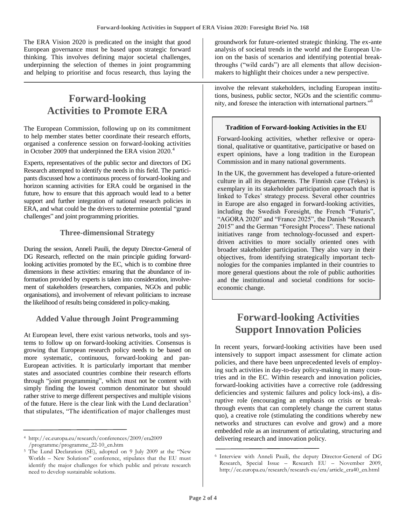The ERA Vision 2020 is predicated on the insight that good European governance must be based upon strategic forward thinking. This involves defining major societal challenges, underpinning the selection of themes in joint programming and helping to prioritise and focus research, thus laying the

## **Forward-looking Activities to Promote ERA**

The European Commission, following up on its commitment to help member states better coordinate their research efforts, organised a conference session on forward-looking activities in October 2009 that underpinned the ERA vision 2020.<sup>4</sup>

Experts, representatives of the public sector and directors of DG Research attempted to identify the needs in this field. The participants discussed how a continuous process of forward-looking and horizon scanning activities for ERA could be organised in the future, how to ensure that this approach would lead to a better support and further integration of national research policies in ERA, and what could be the drivers to determine potential "grand challenges" and joint programming priorities.

#### **Three-dimensional Strategy**

During the session, Anneli Pauili, the deputy Director-General of DG Research, reflected on the main principle guiding forwardlooking activities promoted by the EC, which is to combine three dimensions in these activities: ensuring that the abundance of information provided by experts is taken into consideration, involvement of stakeholders (researchers, companies, NGOs and public organisations), and involvement of relevant politicians to increase the likelihood of results being considered in policy-making.

### **Added Value through Joint Programming**

At European level, there exist various networks, tools and systems to follow up on forward-looking activities. Consensus is growing that European research policy needs to be based on more systematic, continuous, forward-looking and pan-European activities. It is particularly important that member states and associated countries combine their research efforts through "joint programming", which must not be content with simply finding the lowest common denominator but should rather strive to merge different perspectives and multiple visions of the future. Here is the clear link with the Lund declaration<sup>5</sup> that stipulates, "The identification of major challenges must groundwork for future-oriented strategic thinking. The ex-ante analysis of societal trends in the world and the European Union on the basis of scenarios and identifying potential breakthroughs ("wild cards") are all elements that allow decisionmakers to highlight their choices under a new perspective.

involve the relevant stakeholders, including European institutions, business, public sector, NGOs and the scientific community, and foresee the interaction with international partners."<sup>6</sup>

### **Tradition of Forward-looking Activities in the EU**

Forward-looking activities, whether reflexive or operational, qualitative or quantitative, participative or based on expert opinions, have a long tradition in the European Commission and in many national governments.

In the UK, the government has developed a future-oriented culture in all its departments. The Finnish case (Tekes) is exemplary in its stakeholder participation approach that is linked to Tekes" strategy process. Several other countries in Europe are also engaged in forward-looking activities, including the Swedish Foresight, the French "Futuris", "AGORA 2020" and "France 2025", the Danish "Research 2015" and the German "Foresight Process". These national initiatives range from technology-focussed and expertdriven activities to more socially oriented ones with broader stakeholder participation. They also vary in their objectives, from identifying strategically important technologies for the companies implanted in their countries to more general questions about the role of public authorities and the institutional and societal conditions for socioeconomic change.

# **Forward-looking Activities Support Innovation Policies**

In recent years, forward-looking activities have been used intensively to support impact assessment for climate action policies, and there have been unprecedented levels of employing such activities in day-to-day policy-making in many countries and in the EC. Within research and innovation policies, forward-looking activities have a corrective role (addressing deficiencies and systemic failures and policy lock-ins), a disruptive role (encouraging an emphasis on crisis or breakthrough events that can completely change the current status quo), a creative role (stimulating the conditions whereby new networks and structures can evolve and grow) and a more embedded role as an instrument of articulating, structuring and delivering research and innovation policy.

<sup>4</sup> http://ec.europa.eu/research/conferences/2009/era2009 /programme/programme\_22-10\_en.htm

<sup>5</sup> The Lund Declaration (SE), adopted on 9 July 2009 at the "New Worlds – New Solutions" conference, stipulates that the EU must identify the major challenges for which public and private research need to develop sustainable solutions.

<sup>6</sup> Interview with Anneli Pauili, the deputy Director-General of DG Research, Special Issue – Research EU – November 2009, http://ec.europa.eu/research/research-eu/era/article\_era40\_en.html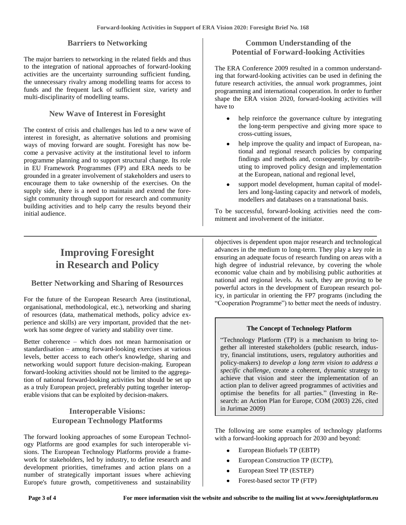#### **Barriers to Networking**

The major barriers to networking in the related fields and thus to the integration of national approaches of forward-looking activities are the uncertainty surrounding sufficient funding, the unnecessary rivalry among modelling teams for access to funds and the frequent lack of sufficient size, variety and multi-disciplinarity of modelling teams.

### **New Wave of Interest in Foresight**

The context of crisis and challenges has led to a new wave of interest in foresight, as alternative solutions and promising ways of moving forward are sought. Foresight has now become a pervasive activity at the institutional level to inform programme planning and to support structural change. Its role in EU Framework Programmes (FP) and ERA needs to be grounded in a greater involvement of stakeholders and users to encourage them to take ownership of the exercises. On the supply side, there is a need to maintain and extend the foresight community through support for research and community building activities and to help carry the results beyond their initial audience.

#### **Common Understanding of the Potential of Forward-looking Activities**

The ERA Conference 2009 resulted in a common understanding that forward-looking activities can be used in defining the future research activities, the annual work programmes, joint programming and international cooperation. In order to further shape the ERA vision 2020, forward-looking activities will have to

- help reinforce the governance culture by integrating the long-term perspective and giving more space to cross-cutting issues,
- help improve the quality and impact of European, na- $\bullet$ tional and regional research policies by comparing findings and methods and, consequently, by contributing to improved policy design and implementation at the European, national and regional level,
- support model development, human capital of modellers and long-lasting capacity and network of models, modellers and databases on a transnational basis.

To be successful, forward-looking activities need the commitment and involvement of the initiator.

# **Improving Foresight in Research and Policy**

#### **Better Networking and Sharing of Resources**

For the future of the European Research Area (institutional, organisational, methodological, etc.), networking and sharing of resources (data, mathematical methods, policy advice experience and skills) are very important, provided that the network has some degree of variety and stability over time.

Better coherence – which does not mean harmonisation or standardisation – among forward-looking exercises at various levels, better access to each other's knowledge, sharing and networking would support future decision-making. European forward-looking activities should not be limited to the aggregation of national forward-looking activities but should be set up as a truly European project, preferably putting together interoperable visions that can be exploited by decision-makers.

#### **Interoperable Visions: European Technology Platforms**

The forward looking approaches of some European Technology Platforms are good examples for such interoperable visions. The European Technology Platforms provide a framework for stakeholders, led by industry, to define research and development priorities, timeframes and action plans on a number of strategically important issues where achieving Europe's future growth, competitiveness and sustainability

objectives is dependent upon major research and technological advances in the medium to long-term. They play a key role in ensuring an adequate focus of research funding on areas with a high degree of industrial relevance, by covering the whole economic value chain and by mobilising public authorities at national and regional levels. As such, they are proving to be powerful actors in the development of European research policy, in particular in orienting the FP7 programs (including the "Cooperation Programme") to better meet the needs of industry.

#### **The Concept of Technology Platform**

"Technology Platform (TP) is a mechanism to bring together all interested stakeholders (public research, industry, financial institutions, users, regulatory authorities and policy-makers) *to develop a long term vision to address a specific challenge*, create a coherent, dynamic strategy to achieve that vision and steer the implementation of an action plan to deliver agreed programmes of activities and optimise the benefits for all parties." (Investing in Research: an Action Plan for Europe, COM (2003) 226, cited in Jurimae 2009)

The following are some examples of technology platforms with a forward-looking approach for 2030 and beyond:

- European Biofuels TP (EBTP)
- European Construction TP (ECTP),
- European Steel TP (ESTEP)
- Forest-based sector TP (FTP)  $\bullet$